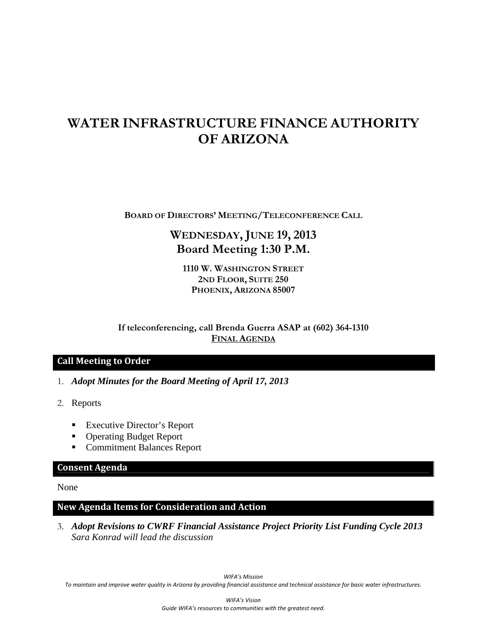# **WATER INFRASTRUCTURE FINANCE AUTHORITY OF ARIZONA**

**BOARD OF DIRECTORS' MEETING/TELECONFERENCE CALL**

## **WEDNESDAY, JUNE 19, 2013 Board Meeting 1:30 P.M.**

**1110 W. WASHINGTON STREET 2ND FLOOR, SUITE 250 PHOENIX, ARIZONA 85007** 

**If teleconferencing, call Brenda Guerra ASAP at (602) 364-1310 FINAL AGENDA**

### **Call Meeting to Order**

- 1. *Adopt Minutes for the Board Meeting of April 17, 2013*
- 2. Reports
	- Executive Director's Report
	- Operating Budget Report
	- **Commitment Balances Report**

### **Consent Agenda**

None

## **New Agenda Items for Consideration and Action**

3. *Adopt Revisions to CWRF Financial Assistance Project Priority List Funding Cycle 2013 Sara Konrad will lead the discussion*

*WIFA's Mission* To maintain and improve water quality in Arizona by providing financial assistance and technical assistance for basic water infrastructures.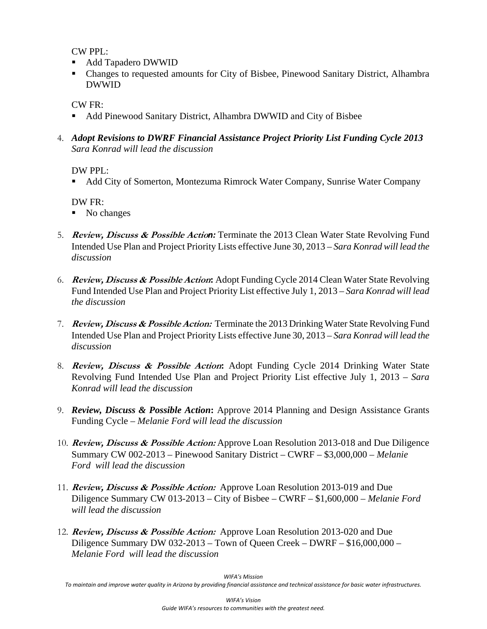CW PPL:

- Add Tapadero DWWID
- Changes to requested amounts for City of Bisbee, Pinewood Sanitary District, Alhambra DWWID

CW FR:

- Add Pinewood Sanitary District, Alhambra DWWID and City of Bisbee
- 4. *Adopt Revisions to DWRF Financial Assistance Project Priority List Funding Cycle 2013 Sara Konrad will lead the discussion*

DW PPL:

Add City of Somerton, Montezuma Rimrock Water Company, Sunrise Water Company

DW FR:

- No changes
- 5. **Review, Discuss & Possible Actio***n:* Terminate the 2013 Clean Water State Revolving Fund Intended Use Plan and Project Priority Lists effective June 30, 2013 – *Sara Konrad will lead the discussion*
- 6. **Review, Discuss & Possible Action:** Adopt Funding Cycle 2014 Clean Water State Revolving Fund Intended Use Plan and Project Priority List effective July 1, 2013 – *Sara Konrad will lead the discussion*
- 7. **Review, Discuss & Possible Action:** Terminate the 2013 Drinking Water State Revolving Fund Intended Use Plan and Project Priority Lists effective June 30, 2013 – *Sara Konrad will lead the discussion*
- 8. **Review, Discuss & Possible Action:** Adopt Funding Cycle 2014 Drinking Water State Revolving Fund Intended Use Plan and Project Priority List effective July 1, 2013 – *Sara Konrad will lead the discussion*
- 9. *Review, Discuss & Possible Action***:** Approve 2014 Planning and Design Assistance Grants Funding Cycle – *Melanie Ford will lead the discussion*
- 10. **Review, Discuss & Possible Action:** Approve Loan Resolution 2013-018 and Due Diligence Summary CW 002-2013 – Pinewood Sanitary District – CWRF – \$3,000,000 – *Melanie Ford will lead the discussion*
- 11. **Review, Discuss & Possible Action:** Approve Loan Resolution 2013-019 and Due Diligence Summary CW 013-2013 – City of Bisbee – CWRF – \$1,600,000 – *Melanie Ford will lead the discussion*
- 12. **Review, Discuss & Possible Action:** Approve Loan Resolution 2013-020 and Due Diligence Summary DW 032-2013 – Town of Queen Creek – DWRF – \$16,000,000 – *Melanie Ford will lead the discussion*

*WIFA's Mission*

To maintain and improve water quality in Arizona by providing financial assistance and technical assistance for basic water infrastructures.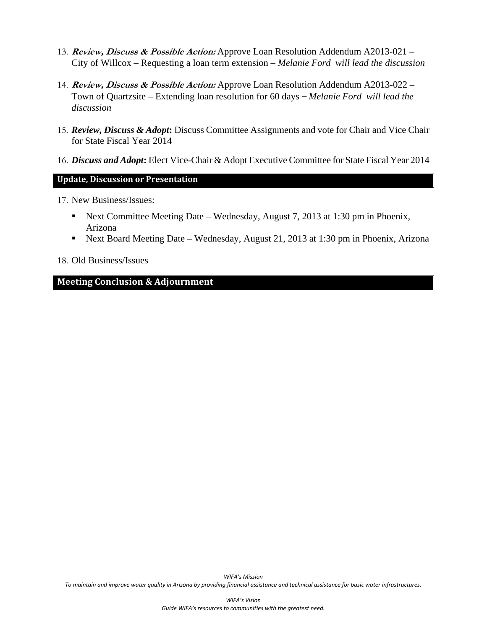- 13. **Review, Discuss & Possible Action:** Approve Loan Resolution Addendum A2013-021 City of Willcox – Requesting a loan term extension – *Melanie Ford will lead the discussion*
- 14. **Review, Discuss & Possible Action:** Approve Loan Resolution Addendum A2013-022 Town of Quartzsite – Extending loan resolution for 60 days *– Melanie Ford will lead the discussion*
- 15. *Review, Discuss & Adopt***:** Discuss Committee Assignments and vote for Chair and Vice Chair for State Fiscal Year 2014
- 16. *Discuss and Adopt***:** Elect Vice-Chair & Adopt Executive Committee for State Fiscal Year 2014

## **Update, Discussion or Presentation**

- 17. New Business/Issues:
	- Next Committee Meeting Date Wednesday, August 7, 2013 at 1:30 pm in Phoenix, Arizona
	- Next Board Meeting Date Wednesday, August 21, 2013 at 1:30 pm in Phoenix, Arizona

### 18. Old Business/Issues

## **Meeting Conclusion & Adjournment**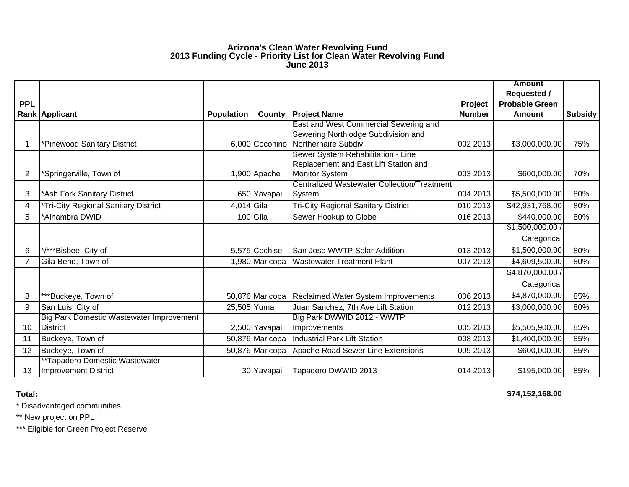#### **Arizona's Clean Water Revolving Fund 2013 Funding Cycle - Priority List for Clean Water Revolving Fund June 2013**

|                |                                                 |                   |                 |                                                    |               | <b>Amount</b>         |                |
|----------------|-------------------------------------------------|-------------------|-----------------|----------------------------------------------------|---------------|-----------------------|----------------|
|                |                                                 |                   |                 |                                                    |               | <b>Requested /</b>    |                |
| <b>PPL</b>     |                                                 |                   |                 |                                                    | Project       | <b>Probable Green</b> |                |
|                | <b>Rank Applicant</b>                           | <b>Population</b> | County          | <b>Project Name</b>                                | <b>Number</b> | Amount                | <b>Subsidy</b> |
|                |                                                 |                   |                 | East and West Commercial Sewering and              |               |                       |                |
|                |                                                 |                   |                 | Sewering Northlodge Subdivision and                |               |                       |                |
|                | *Pinewood Sanitary District                     |                   | 6,000 Coconino  | Northernaire Subdiv                                | 002 2013      | \$3,000,000.00        | 75%            |
|                |                                                 |                   |                 | Sewer System Rehabilitation - Line                 |               |                       |                |
|                |                                                 |                   |                 | Replacement and East Lift Station and              |               |                       |                |
| $\overline{2}$ | *Springerville, Town of                         |                   | 1,900 Apache    | <b>Monitor System</b>                              | 003 2013      | \$600,000.00          | 70%            |
|                |                                                 |                   |                 | <b>Centralized Wastewater Collection/Treatment</b> |               |                       |                |
| 3              | *Ash Fork Sanitary District                     |                   | 650 Yavapai     | System                                             | 004 2013      | \$5,500,000.00        | 80%            |
| 4              | Tri-City Regional Sanitary District             | 4,014 Gila        |                 | <b>Tri-City Regional Sanitary District</b>         | 010 2013      | \$42,931,768.00       | 80%            |
| 5              | *Alhambra DWID                                  |                   | 100 Gila        | Sewer Hookup to Globe                              | 016 2013      | \$440,000.00          | 80%            |
|                |                                                 |                   |                 |                                                    |               | \$1,500,000.00/       |                |
|                |                                                 |                   |                 |                                                    |               | Categorical           |                |
| 6              | */***Bisbee, City of                            |                   | 5,575 Cochise   | San Jose WWTP Solar Addition                       | 013 2013      | \$1,500,000.00        | 80%            |
| $\overline{7}$ | Gila Bend, Town of                              |                   | 1,980 Maricopa  | <b>Wastewater Treatment Plant</b>                  | 007 2013      | \$4,609,500.00        | 80%            |
|                |                                                 |                   |                 |                                                    |               | \$4,870,000.00 /      |                |
|                |                                                 |                   |                 |                                                    |               | Categorical           |                |
| 8              | ***Buckeye, Town of                             |                   | 50,876 Maricopa | <b>Reclaimed Water System Improvements</b>         | 006 2013      | \$4,870,000.00        | 85%            |
| 9              | San Luis, City of                               | 25,505 Yuma       |                 | Juan Sanchez, 7th Ave Lift Station                 | 012 2013      | \$3,000,000.00        | 80%            |
|                | <b>Big Park Domestic Wastewater Improvement</b> |                   |                 | Big Park DWWID 2012 - WWTP                         |               |                       |                |
| 10             | <b>District</b>                                 |                   | 2,500 Yavapai   | Improvements                                       | 005 2013      | \$5,505,900.00        | 85%            |
| 11             | Buckeye, Town of                                |                   | 50,876 Maricopa | <b>Industrial Park Lift Station</b>                | 008 2013      | \$1,400,000.00        | 85%            |
| 12             | Buckeye, Town of                                |                   | 50,876 Maricopa | Apache Road Sewer Line Extensions                  | 009 2013      | \$600,000.00          | 85%            |
|                | **Tapadero Domestic Wastewater                  |                   |                 |                                                    |               |                       |                |
| 13             | <b>Improvement District</b>                     |                   | 30 Yavapai      | Tapadero DWWID 2013                                | 014 2013      | \$195,000.00          | 85%            |

**Total:**

**\$74,152,168.00** 

\* Disadvantaged communities

\*\* New project on PPL

\*\*\* Eligible for Green Project Reserve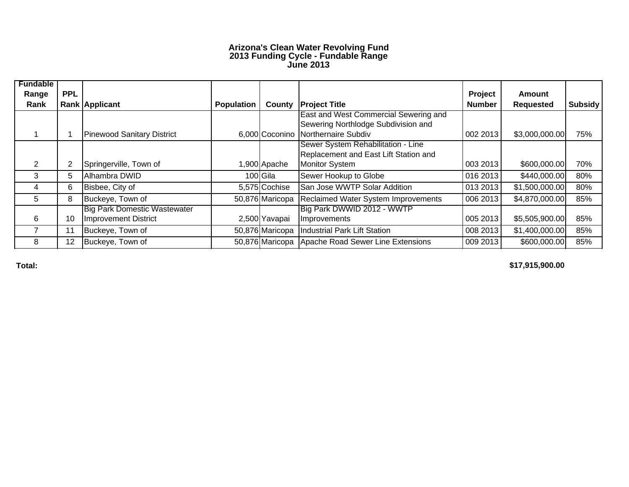#### **Arizona's Clean Water Revolving Fund 2013 Funding Cycle - Fundable Range June 2013**

| <b>Fundable</b><br>Range | <b>PPL</b> |                                     |                   |                 |                                                   | Project       | Amount           |                |
|--------------------------|------------|-------------------------------------|-------------------|-----------------|---------------------------------------------------|---------------|------------------|----------------|
| Rank                     |            | Rank Applicant                      | <b>Population</b> | County          | <b>Project Title</b>                              | <b>Number</b> | <b>Requested</b> | <b>Subsidy</b> |
|                          |            |                                     |                   |                 | <b>East and West Commercial Sewering and</b>      |               |                  |                |
|                          |            |                                     |                   |                 | Sewering Northlodge Subdivision and               |               |                  |                |
|                          |            | <b>Pinewood Sanitary District</b>   |                   |                 | 6,000 Coconino Northernaire Subdiv                | 002 2013      | \$3,000,000.00   | 75%            |
|                          |            |                                     |                   |                 | Sewer System Rehabilitation - Line                |               |                  |                |
|                          |            |                                     |                   |                 | Replacement and East Lift Station and             |               |                  |                |
| $\overline{2}$           | 2          | Springerville, Town of              |                   | 1,900 Apache    | <b>Monitor System</b>                             | 003 2013      | \$600,000.00     | 70%            |
| 3                        | 5          | Alhambra DWID                       |                   | 100 Gila        | Sewer Hookup to Globe                             | 016 2013      | \$440,000.00     | 80%            |
| 4                        | 6          | Bisbee, City of                     |                   | 5,575 Cochise   | San Jose WWTP Solar Addition                      | 013 2013      | \$1,500,000.00   | 80%            |
| 5.                       | 8          | Buckeye, Town of                    |                   | 50,876 Maricopa | <b>Reclaimed Water System Improvements</b>        | 006 2013      | \$4,870,000.00   | 85%            |
|                          |            | <b>Big Park Domestic Wastewater</b> |                   |                 | Big Park DWWID 2012 - WWTP                        |               |                  |                |
| 6                        | 10         | Improvement District                |                   | 2,500 Yavapai   | Improvements                                      | 005 2013      | \$5,505,900.00   | 85%            |
|                          | 11         | Buckeye, Town of                    |                   | 50,876 Maricopa | Industrial Park Lift Station                      | 008 2013      | \$1,400,000.00   | 85%            |
| 8                        | 12         | Buckeye, Town of                    |                   |                 | 50,876 Maricopa Apache Road Sewer Line Extensions | 009 2013      | \$600,000.00     | 85%            |

**Total:**

**\$17,915,900.00**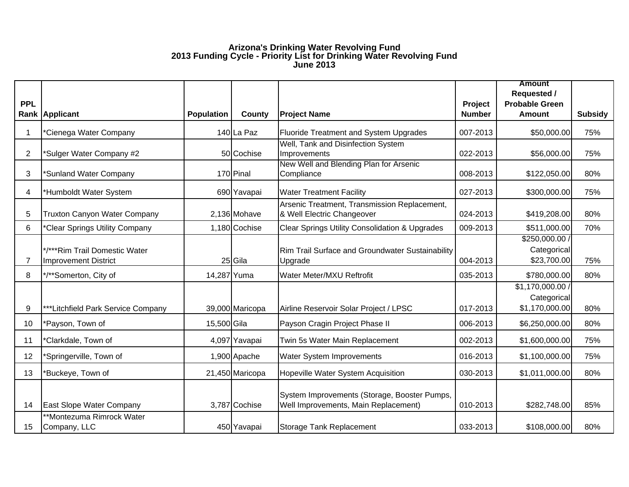#### **Arizona's Drinking Water Revolving Fund 2013 Funding Cycle - Priority List for Drinking Water Revolving Fund June 2013**

|            |                                                              |                   |                 |                                                                                      |               | <b>Amount</b><br><b>Requested /</b>          |                |
|------------|--------------------------------------------------------------|-------------------|-----------------|--------------------------------------------------------------------------------------|---------------|----------------------------------------------|----------------|
| <b>PPL</b> |                                                              |                   |                 |                                                                                      | Project       | <b>Probable Green</b>                        |                |
|            | Rank Applicant                                               | <b>Population</b> | <b>County</b>   | <b>Project Name</b>                                                                  | <b>Number</b> | Amount                                       | <b>Subsidy</b> |
|            | *Cienega Water Company                                       |                   | 140 La Paz      | <b>Fluoride Treatment and System Upgrades</b>                                        | 007-2013      | \$50,000.00                                  | 75%            |
| 2          | *Sulger Water Company #2                                     |                   | 50 Cochise      | Well, Tank and Disinfection System<br>Improvements                                   | 022-2013      | \$56,000.00                                  | 75%            |
| 3          | *Sunland Water Company                                       |                   | 170 Pinal       | New Well and Blending Plan for Arsenic<br>Compliance                                 | 008-2013      | \$122,050.00                                 | 80%            |
| 4          | *Humboldt Water System                                       |                   | 690 Yavapai     | <b>Water Treatment Facility</b>                                                      | 027-2013      | \$300,000.00                                 | 75%            |
| 5          | <b>Truxton Canyon Water Company</b>                          |                   | 2,136 Mohave    | Arsenic Treatment, Transmission Replacement,<br>& Well Electric Changeover           | 024-2013      | \$419,208.00                                 | 80%            |
| 6          | *Clear Springs Utility Company                               |                   | 1,180 Cochise   | <b>Clear Springs Utility Consolidation &amp; Upgrades</b>                            | 009-2013      | \$511,000.00                                 | 70%            |
| 7          | */***Rim Trail Domestic Water<br><b>Improvement District</b> |                   | 25 Gila         | <b>Rim Trail Surface and Groundwater Sustainability</b><br>Upgrade                   | 004-2013      | \$250,000.00 /<br>Categorical<br>\$23,700.00 | 75%            |
| 8          | */**Somerton, City of                                        | 14,287 Yuma       |                 | Water Meter/MXU Reftrofit                                                            | 035-2013      | \$780,000.00                                 | 80%            |
|            |                                                              |                   |                 |                                                                                      |               | \$1,170,000.00 /                             |                |
| 9          | ***Litchfield Park Service Company                           |                   | 39,000 Maricopa | Airline Reservoir Solar Project / LPSC                                               | 017-2013      | Categorical<br>\$1,170,000.00                | 80%            |
| 10         | *Payson, Town of                                             | 15,500 Gila       |                 | Payson Cragin Project Phase II                                                       | 006-2013      | \$6,250,000.00                               | 80%            |
| 11         | *Clarkdale, Town of                                          |                   | 4,097 Yavapai   | Twin 5s Water Main Replacement                                                       | 002-2013      | \$1,600,000.00                               | 75%            |
| 12         | *Springerville, Town of                                      |                   | 1,900 Apache    | Water System Improvements                                                            | 016-2013      | \$1,100,000.00                               | 75%            |
| 13         | *Buckeye, Town of                                            |                   | 21,450 Maricopa | Hopeville Water System Acquisition                                                   | 030-2013      | \$1,011,000.00                               | 80%            |
| 14         | East Slope Water Company                                     |                   | 3,787 Cochise   | System Improvements (Storage, Booster Pumps,<br>Well Improvements, Main Replacement) | 010-2013      | \$282,748.00                                 | 85%            |
| 15         | **Montezuma Rimrock Water<br>Company, LLC                    |                   | 450 Yavapai     | Storage Tank Replacement                                                             | 033-2013      | \$108,000.00                                 | 80%            |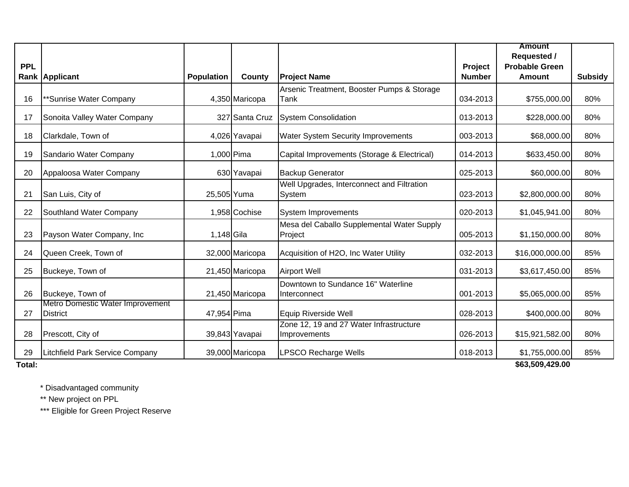|            |                                                     |                   |                 |                                                         |               | <b>Amount</b><br><b>Requested /</b> |                |
|------------|-----------------------------------------------------|-------------------|-----------------|---------------------------------------------------------|---------------|-------------------------------------|----------------|
| <b>PPL</b> |                                                     |                   |                 |                                                         | Project       | <b>Probable Green</b>               |                |
|            | Rank Applicant                                      | <b>Population</b> | County          | <b>Project Name</b>                                     | <b>Number</b> | <b>Amount</b>                       | <b>Subsidy</b> |
|            |                                                     |                   |                 | Arsenic Treatment, Booster Pumps & Storage              |               |                                     |                |
| 16         | **Sunrise Water Company                             |                   | 4,350 Maricopa  | Tank                                                    | 034-2013      | \$755,000.00                        | 80%            |
| 17         | Sonoita Valley Water Company                        |                   | 327 Santa Cruz  | <b>System Consolidation</b>                             | 013-2013      | \$228,000.00                        | 80%            |
| 18         | Clarkdale, Town of                                  |                   | 4,026 Yavapai   | Water System Security Improvements                      | 003-2013      | \$68,000.00                         | 80%            |
| 19         | Sandario Water Company                              |                   | 1,000 Pima      | Capital Improvements (Storage & Electrical)             | 014-2013      | \$633,450.00                        | 80%            |
| 20         | Appaloosa Water Company                             |                   | 630 Yavapai     | <b>Backup Generator</b>                                 | 025-2013      | \$60,000.00                         | 80%            |
| 21         | San Luis, City of                                   |                   | 25,505 Yuma     | Well Upgrades, Interconnect and Filtration<br>System    | 023-2013      | \$2,800,000.00                      | 80%            |
| 22         | Southland Water Company                             |                   | 1,958 Cochise   | System Improvements                                     | 020-2013      | \$1,045,941.00                      | 80%            |
| 23         | Payson Water Company, Inc.                          | 1,148 Gila        |                 | Mesa del Caballo Supplemental Water Supply<br>Project   | 005-2013      | \$1,150,000.00                      | 80%            |
| 24         | Queen Creek, Town of                                |                   | 32,000 Maricopa | Acquisition of H2O, Inc Water Utility                   | 032-2013      | \$16,000,000.00                     | 85%            |
| 25         | Buckeye, Town of                                    |                   | 21,450 Maricopa | <b>Airport Well</b>                                     | 031-2013      | \$3,617,450.00                      | 85%            |
| 26         | Buckeye, Town of                                    |                   | 21,450 Maricopa | Downtown to Sundance 16" Waterline<br>Interconnect      | 001-2013      | \$5,065,000.00                      | 85%            |
| 27         | Metro Domestic Water Improvement<br><b>District</b> | 47,954 Pima       |                 | Equip Riverside Well                                    | 028-2013      | \$400,000.00                        | 80%            |
| 28         | Prescott, City of                                   |                   | 39,843 Yavapai  | Zone 12, 19 and 27 Water Infrastructure<br>Improvements | 026-2013      | \$15,921,582.00                     | 80%            |
| 29         | Litchfield Park Service Company                     |                   | 39,000 Maricopa | <b>LPSCO Recharge Wells</b>                             | 018-2013      | \$1,755,000.00                      | 85%            |
| Total:     |                                                     |                   |                 |                                                         |               | \$63,509,429.00                     |                |

\* Disadvantaged community

\*\* New project on PPL

\*\*\* Eligible for Green Project Reserve